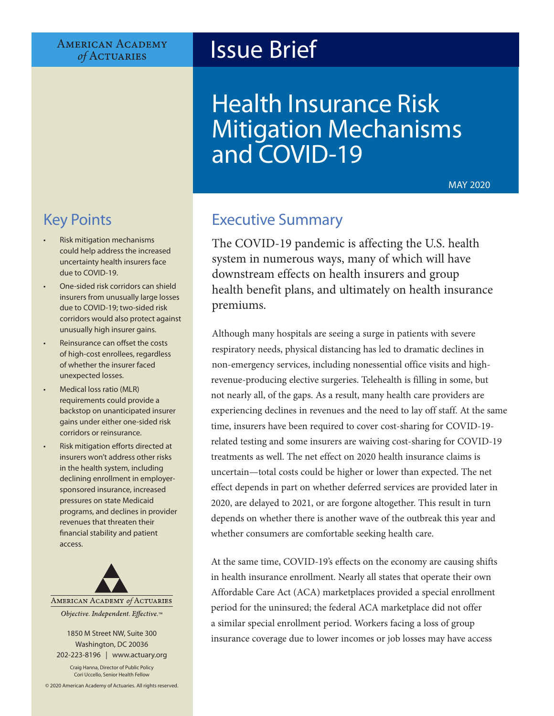#### **AMERICAN ACADEMY** of ACTUARIES

# Issue Brief

# Health Insurance Risk Mitigation Mechanisms and COVID-19

MAY 2020

# Key Points

- Risk mitigation mechanisms could help address the increased uncertainty health insurers face due to COVID-19.
- One-sided risk corridors can shield insurers from unusually large losses due to COVID-19; two-sided risk corridors would also protect against unusually high insurer gains.
- Reinsurance can offset the costs of high-cost enrollees, regardless of whether the insurer faced unexpected losses.
- Medical loss ratio (MLR) requirements could provide a backstop on unanticipated insurer gains under either one-sided risk corridors or reinsurance.
- Risk mitigation efforts directed at insurers won't address other risks in the health system, including declining enrollment in employersponsored insurance, increased pressures on state Medicaid programs, and declines in provider revenues that threaten their financial stability and patient access.



1850 M Street NW, Suite 300 Washington, DC 20036

202-223-8196 | [www.actuary.org](http://actuary.org) Craig Hanna, Director of Public Policy Cori Uccello, Senior Health Fellow

© 2020 American Academy of Actuaries. All rights reserved.

# Executive Summary

The COVID-19 pandemic is affecting the U.S. health system in numerous ways, many of which will have downstream effects on health insurers and group health benefit plans, and ultimately on health insurance premiums.

Although many hospitals are seeing a surge in patients with severe respiratory needs, physical distancing has led to dramatic declines in non-emergency services, including nonessential office visits and highrevenue-producing elective surgeries. Telehealth is filling in some, but not nearly all, of the gaps. As a result, many health care providers are experiencing declines in revenues and the need to lay off staff. At the same time, insurers have been required to cover cost-sharing for COVID-19 related testing and some insurers are waiving cost-sharing for COVID-19 treatments as well. The net effect on 2020 health insurance claims is uncertain—total costs could be higher or lower than expected. The net effect depends in part on whether deferred services are provided later in 2020, are delayed to 2021, or are forgone altogether. This result in turn depends on whether there is another wave of the outbreak this year and whether consumers are comfortable seeking health care.

At the same time, COVID-19's effects on the economy are causing shifts in health insurance enrollment. Nearly all states that operate their own Affordable Care Act (ACA) marketplaces provided a special enrollment period for the uninsured; the federal ACA marketplace did not offer a similar special enrollment period. Workers facing a loss of group insurance coverage due to lower incomes or job losses may have access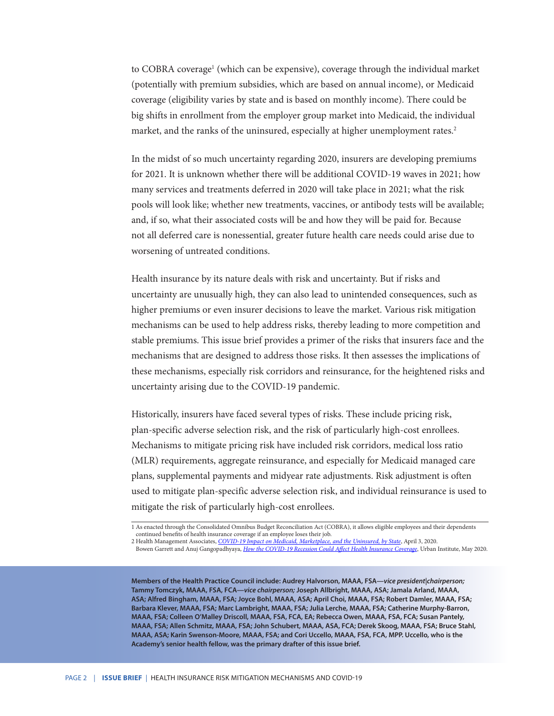to COBRA coverage<sup>1</sup> (which can be expensive), coverage through the individual market (potentially with premium subsidies, which are based on annual income), or Medicaid coverage (eligibility varies by state and is based on monthly income). There could be big shifts in enrollment from the employer group market into Medicaid, the individual market, and the ranks of the uninsured, especially at higher unemployment rates.<sup>2</sup>

In the midst of so much uncertainty regarding 2020, insurers are developing premiums for 2021. It is unknown whether there will be additional COVID-19 waves in 2021; how many services and treatments deferred in 2020 will take place in 2021; what the risk pools will look like; whether new treatments, vaccines, or antibody tests will be available; and, if so, what their associated costs will be and how they will be paid for. Because not all deferred care is nonessential, greater future health care needs could arise due to worsening of untreated conditions.

Health insurance by its nature deals with risk and uncertainty. But if risks and uncertainty are unusually high, they can also lead to unintended consequences, such as higher premiums or even insurer decisions to leave the market. Various risk mitigation mechanisms can be used to help address risks, thereby leading to more competition and stable premiums. This issue brief provides a primer of the risks that insurers face and the mechanisms that are designed to address those risks. It then assesses the implications of these mechanisms, especially risk corridors and reinsurance, for the heightened risks and uncertainty arising due to the COVID-19 pandemic.

Historically, insurers have faced several types of risks. These include pricing risk, plan-specific adverse selection risk, and the risk of particularly high-cost enrollees. Mechanisms to mitigate pricing risk have included risk corridors, medical loss ratio (MLR) requirements, aggregate reinsurance, and especially for Medicaid managed care plans, supplemental payments and midyear rate adjustments. Risk adjustment is often used to mitigate plan-specific adverse selection risk, and individual reinsurance is used to mitigate the risk of particularly high-cost enrollees.

**Members of the Health Practice Council include: Audrey Halvorson, MAAA, FSA—***vice president|chairperson;*  **Tammy Tomczyk, MAAA, FSA, FCA—***vice chairperson;* **Joseph Allbright, MAAA, ASA; Jamala Arland, MAAA, ASA; Alfred Bingham, MAAA, FSA; Joyce Bohl, MAAA, ASA; April Choi, MAAA, FSA; Robert Damler, MAAA, FSA; Barbara Klever, MAAA, FSA; Marc Lambright, MAAA, FSA; Julia Lerche, MAAA, FSA; Catherine Murphy-Barron, MAAA, FSA; Colleen O'Malley Driscoll, MAAA, FSA, FCA, EA; Rebecca Owen, MAAA, FSA, FCA; Susan Pantely, MAAA, FSA; Allen Schmitz, MAAA, FSA; John Schubert, MAAA, ASA, FCA; Derek Skoog, MAAA, FSA; Bruce Stahl, MAAA, ASA; Karin Swenson-Moore, MAAA, FSA; and Cori Uccello, MAAA, FSA, FCA, MPP. Uccello, who is the Academy's senior health fellow, was the primary drafter of this issue brief.**

<sup>1</sup> As enacted through the Consolidated Omnibus Budget Reconciliation Act (COBRA), it allows eligible employees and their dependents continued benefits of health insurance coverage if an employee loses their job.

<sup>2</sup> Health Management Associates, *[COVID-19 Impact on Medicaid, Marketplace, and the Uninsured, by State](https://www.healthmanagement.com/wp-content/uploads/HMA-Estimates-of-COVID-Impact-on-Coverage-public-version-for-April-3-830-CT.pdf)*, April 3, 2020.

Bowen Garrett and Anuj Gangopadhyaya, *[How the COVID-19 Recession Could Affect Health Insurance Coverage](https://www.urban.org/research/publication/how-covid-19-recession-could-affect-health-insurance-coverage)*, Urban Institute, May 2020.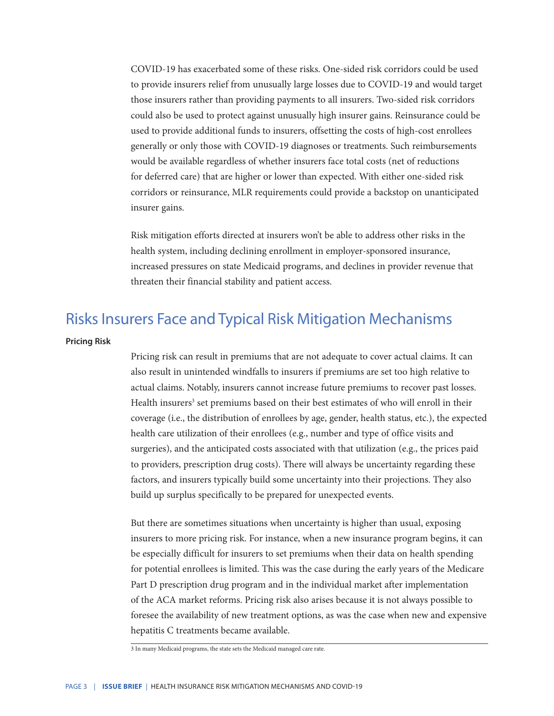COVID-19 has exacerbated some of these risks. One-sided risk corridors could be used to provide insurers relief from unusually large losses due to COVID-19 and would target those insurers rather than providing payments to all insurers. Two-sided risk corridors could also be used to protect against unusually high insurer gains. Reinsurance could be used to provide additional funds to insurers, offsetting the costs of high-cost enrollees generally or only those with COVID-19 diagnoses or treatments. Such reimbursements would be available regardless of whether insurers face total costs (net of reductions for deferred care) that are higher or lower than expected. With either one-sided risk corridors or reinsurance, MLR requirements could provide a backstop on unanticipated insurer gains.

Risk mitigation efforts directed at insurers won't be able to address other risks in the health system, including declining enrollment in employer-sponsored insurance, increased pressures on state Medicaid programs, and declines in provider revenue that threaten their financial stability and patient access.

### Risks Insurers Face and Typical Risk Mitigation Mechanisms

#### **Pricing Risk**

Pricing risk can result in premiums that are not adequate to cover actual claims. It can also result in unintended windfalls to insurers if premiums are set too high relative to actual claims. Notably, insurers cannot increase future premiums to recover past losses. Health insurers<sup>3</sup> set premiums based on their best estimates of who will enroll in their coverage (i.e., the distribution of enrollees by age, gender, health status, etc.), the expected health care utilization of their enrollees (e.g., number and type of office visits and surgeries), and the anticipated costs associated with that utilization (e.g., the prices paid to providers, prescription drug costs). There will always be uncertainty regarding these factors, and insurers typically build some uncertainty into their projections. They also build up surplus specifically to be prepared for unexpected events.

But there are sometimes situations when uncertainty is higher than usual, exposing insurers to more pricing risk. For instance, when a new insurance program begins, it can be especially difficult for insurers to set premiums when their data on health spending for potential enrollees is limited. This was the case during the early years of the Medicare Part D prescription drug program and in the individual market after implementation of the ACA market reforms. Pricing risk also arises because it is not always possible to foresee the availability of new treatment options, as was the case when new and expensive hepatitis C treatments became available.

<sup>3</sup> In many Medicaid programs, the state sets the Medicaid managed care rate.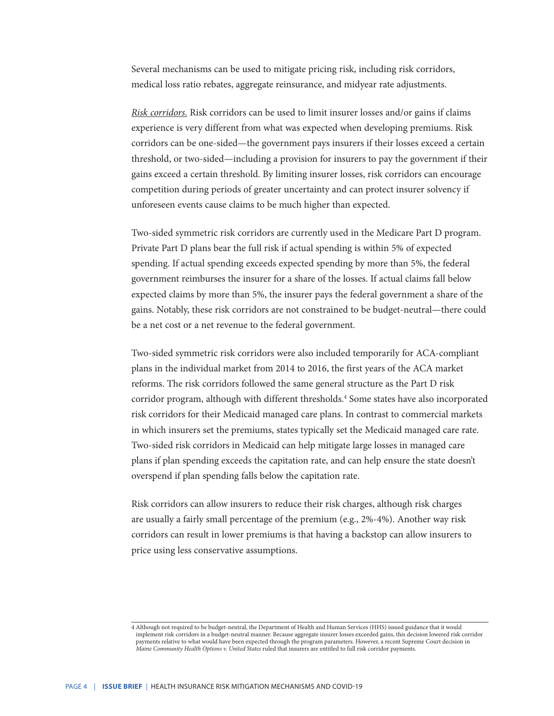Several mechanisms can be used to mitigate pricing risk, including risk corridors, medical loss ratio rebates, aggregate reinsurance, and midyear rate adjustments.

*Risk corridors.* Risk corridors can be used to limit insurer losses and/or gains if claims experience is very different from what was expected when developing premiums. Risk corridors can be one-sided—the government pays insurers if their losses exceed a certain threshold, or two-sided—including a provision for insurers to pay the government if their gains exceed a certain threshold. By limiting insurer losses, risk corridors can encourage competition during periods of greater uncertainty and can protect insurer solvency if unforeseen events cause claims to be much higher than expected.

Two-sided symmetric risk corridors are currently used in the Medicare Part D program. Private Part D plans bear the full risk if actual spending is within 5% of expected spending. If actual spending exceeds expected spending by more than 5%, the federal government reimburses the insurer for a share of the losses. If actual claims fall below expected claims by more than 5%, the insurer pays the federal government a share of the gains. Notably, these risk corridors are not constrained to be budget-neutral—there could be a net cost or a net revenue to the federal government.

Two-sided symmetric risk corridors were also included temporarily for ACA-compliant plans in the individual market from 2014 to 2016, the first years of the ACA market reforms. The risk corridors followed the same general structure as the Part D risk corridor program, although with different thresholds.<sup>4</sup> Some states have also incorporated risk corridors for their Medicaid managed care plans. In contrast to commercial markets in which insurers set the premiums, states typically set the Medicaid managed care rate. Two-sided risk corridors in Medicaid can help mitigate large losses in managed care plans if plan spending exceeds the capitation rate, and can help ensure the state doesn't overspend if plan spending falls below the capitation rate.

Risk corridors can allow insurers to reduce their risk charges, although risk charges are usually a fairly small percentage of the premium (e.g., 2%-4%). Another way risk corridors can result in lower premiums is that having a backstop can allow insurers to price using less conservative assumptions.

<sup>4</sup> Although not required to be budget-neutral, the Department of Health and Human Services (HHS) issued guidance that it would implement risk corridors in a budget-neutral manner. Because aggregate insurer losses exceeded gains, this decision lowered risk corridor payments relative to what would have been expected through the program parameters. However, a recent Supreme Court decision in *Maine Community Health Options v. United States* ruled that insurers are entitled to full risk corridor payments.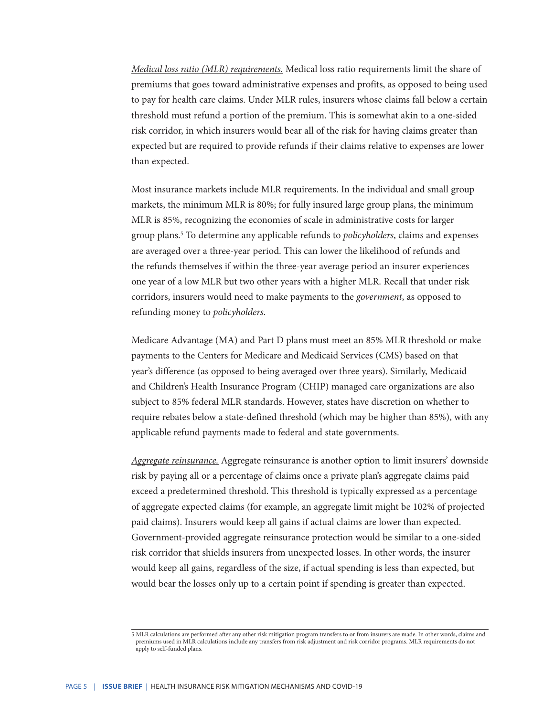*Medical loss ratio (MLR) requirements.* Medical loss ratio requirements limit the share of premiums that goes toward administrative expenses and profits, as opposed to being used to pay for health care claims. Under MLR rules, insurers whose claims fall below a certain threshold must refund a portion of the premium. This is somewhat akin to a one-sided risk corridor, in which insurers would bear all of the risk for having claims greater than expected but are required to provide refunds if their claims relative to expenses are lower than expected.

Most insurance markets include MLR requirements. In the individual and small group markets, the minimum MLR is 80%; for fully insured large group plans, the minimum MLR is 85%, recognizing the economies of scale in administrative costs for larger group plans.5 To determine any applicable refunds to *policyholders*, claims and expenses are averaged over a three-year period. This can lower the likelihood of refunds and the refunds themselves if within the three-year average period an insurer experiences one year of a low MLR but two other years with a higher MLR. Recall that under risk corridors, insurers would need to make payments to the *government*, as opposed to refunding money to *policyholders*.

Medicare Advantage (MA) and Part D plans must meet an 85% MLR threshold or make payments to the Centers for Medicare and Medicaid Services (CMS) based on that year's difference (as opposed to being averaged over three years). Similarly, Medicaid and Children's Health Insurance Program (CHIP) managed care organizations are also subject to 85% federal MLR standards. However, states have discretion on whether to require rebates below a state-defined threshold (which may be higher than 85%), with any applicable refund payments made to federal and state governments.

*Aggregate reinsurance.* Aggregate reinsurance is another option to limit insurers' downside risk by paying all or a percentage of claims once a private plan's aggregate claims paid exceed a predetermined threshold. This threshold is typically expressed as a percentage of aggregate expected claims (for example, an aggregate limit might be 102% of projected paid claims). Insurers would keep all gains if actual claims are lower than expected. Government-provided aggregate reinsurance protection would be similar to a one-sided risk corridor that shields insurers from unexpected losses. In other words, the insurer would keep all gains, regardless of the size, if actual spending is less than expected, but would bear the losses only up to a certain point if spending is greater than expected.

<sup>5</sup> MLR calculations are performed after any other risk mitigation program transfers to or from insurers are made. In other words, claims and premiums used in MLR calculations include any transfers from risk adjustment and risk corridor programs. MLR requirements do not apply to self-funded plans.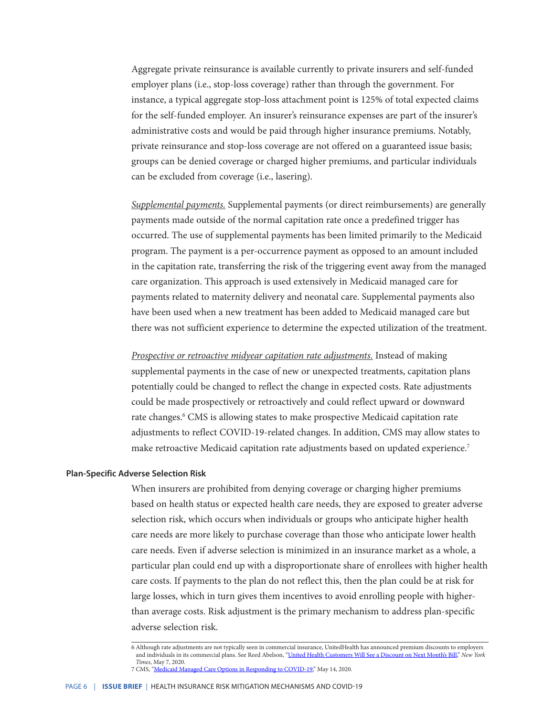Aggregate private reinsurance is available currently to private insurers and self-funded employer plans (i.e., stop-loss coverage) rather than through the government. For instance, a typical aggregate stop-loss attachment point is 125% of total expected claims for the self-funded employer. An insurer's reinsurance expenses are part of the insurer's administrative costs and would be paid through higher insurance premiums. Notably, private reinsurance and stop-loss coverage are not offered on a guaranteed issue basis; groups can be denied coverage or charged higher premiums, and particular individuals can be excluded from coverage (i.e., lasering).

*Supplemental payments.* Supplemental payments (or direct reimbursements) are generally payments made outside of the normal capitation rate once a predefined trigger has occurred. The use of supplemental payments has been limited primarily to the Medicaid program. The payment is a per-occurrence payment as opposed to an amount included in the capitation rate, transferring the risk of the triggering event away from the managed care organization. This approach is used extensively in Medicaid managed care for payments related to maternity delivery and neonatal care. Supplemental payments also have been used when a new treatment has been added to Medicaid managed care but there was not sufficient experience to determine the expected utilization of the treatment.

*Prospective or retroactive midyear capitation rate adjustments.* Instead of making supplemental payments in the case of new or unexpected treatments, capitation plans potentially could be changed to reflect the change in expected costs. Rate adjustments could be made prospectively or retroactively and could reflect upward or downward rate changes.<sup>6</sup> CMS is allowing states to make prospective Medicaid capitation rate adjustments to reflect COVID-19-related changes. In addition, CMS may allow states to make retroactive Medicaid capitation rate adjustments based on updated experience.7

#### **Plan-Specific Adverse Selection Risk**

When insurers are prohibited from denying coverage or charging higher premiums based on health status or expected health care needs, they are exposed to greater adverse selection risk, which occurs when individuals or groups who anticipate higher health care needs are more likely to purchase coverage than those who anticipate lower health care needs. Even if adverse selection is minimized in an insurance market as a whole, a particular plan could end up with a disproportionate share of enrollees with higher health care costs. If payments to the plan do not reflect this, then the plan could be at risk for large losses, which in turn gives them incentives to avoid enrolling people with higherthan average costs. Risk adjustment is the primary mechanism to address plan-specific adverse selection risk.

<sup>6</sup> Although rate adjustments are not typically seen in commercial insurance, UnitedHealth has announced premium discounts to employers and individuals in its commercial plans. See Reed Abelson, ["United Health Customers Will See a Discount on Next Month's Bill](https://www.nytimes.com/2020/05/07/health/unitedhealth-coronavirus.html)," *New York Times*, May 7, 2020.

<sup>7</sup> CMS, ["Medicaid Managed Care Options in Responding to COVID-19,](https://www.medicaid.gov/sites/default/files/Federal-Policy-Guidance/Downloads/cib051420.pdf)" May 14, 2020.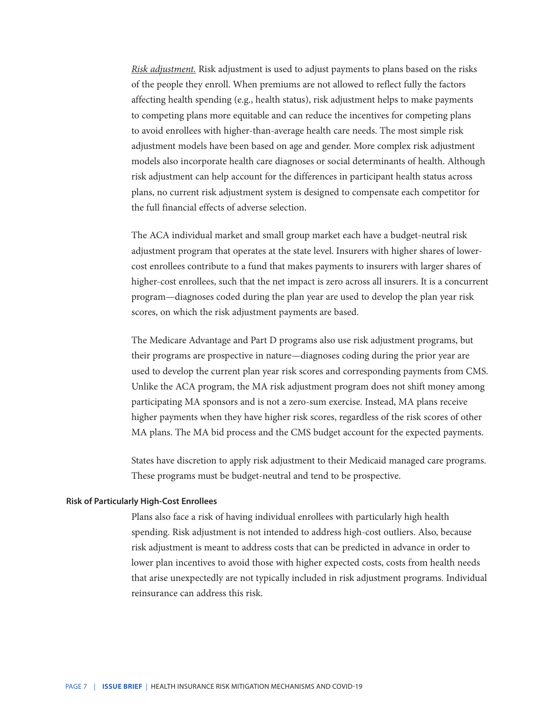*Risk adjustment.* Risk adjustment is used to adjust payments to plans based on the risks of the people they enroll. When premiums are not allowed to reflect fully the factors affecting health spending (e.g., health status), risk adjustment helps to make payments to competing plans more equitable and can reduce the incentives for competing plans to avoid enrollees with higher-than-average health care needs. The most simple risk adjustment models have been based on age and gender. More complex risk adjustment models also incorporate health care diagnoses or social determinants of health. Although risk adjustment can help account for the differences in participant health status across plans, no current risk adjustment system is designed to compensate each competitor for the full financial effects of adverse selection.

The ACA individual market and small group market each have a budget-neutral risk adjustment program that operates at the state level. Insurers with higher shares of lowercost enrollees contribute to a fund that makes payments to insurers with larger shares of higher-cost enrollees, such that the net impact is zero across all insurers. It is a concurrent program—diagnoses coded during the plan year are used to develop the plan year risk scores, on which the risk adjustment payments are based.

The Medicare Advantage and Part D programs also use risk adjustment programs, but their programs are prospective in nature—diagnoses coding during the prior year are used to develop the current plan year risk scores and corresponding payments from CMS. Unlike the ACA program, the MA risk adjustment program does not shift money among participating MA sponsors and is not a zero-sum exercise. Instead, MA plans receive higher payments when they have higher risk scores, regardless of the risk scores of other MA plans. The MA bid process and the CMS budget account for the expected payments.

States have discretion to apply risk adjustment to their Medicaid managed care programs. These programs must be budget-neutral and tend to be prospective.

#### **Risk of Particularly High-Cost Enrollees**

Plans also face a risk of having individual enrollees with particularly high health spending. Risk adjustment is not intended to address high-cost outliers. Also, because risk adjustment is meant to address costs that can be predicted in advance in order to lower plan incentives to avoid those with higher expected costs, costs from health needs that arise unexpectedly are not typically included in risk adjustment programs. Individual reinsurance can address this risk.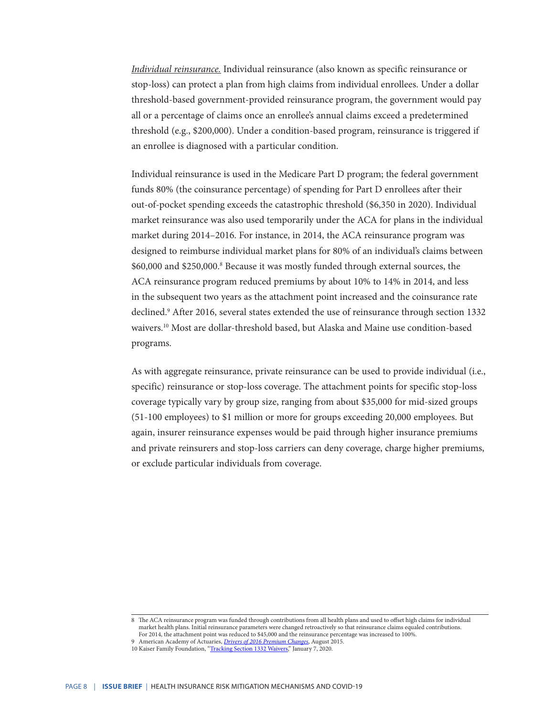*Individual reinsurance.* Individual reinsurance (also known as specific reinsurance or stop-loss) can protect a plan from high claims from individual enrollees. Under a dollar threshold-based government-provided reinsurance program, the government would pay all or a percentage of claims once an enrollee's annual claims exceed a predetermined threshold (e.g., \$200,000). Under a condition-based program, reinsurance is triggered if an enrollee is diagnosed with a particular condition.

Individual reinsurance is used in the Medicare Part D program; the federal government funds 80% (the coinsurance percentage) of spending for Part D enrollees after their out-of-pocket spending exceeds the catastrophic threshold (\$6,350 in 2020). Individual market reinsurance was also used temporarily under the ACA for plans in the individual market during 2014–2016. For instance, in 2014, the ACA reinsurance program was designed to reimburse individual market plans for 80% of an individual's claims between \$60,000 and \$250,000.<sup>8</sup> Because it was mostly funded through external sources, the ACA reinsurance program reduced premiums by about 10% to 14% in 2014, and less in the subsequent two years as the attachment point increased and the coinsurance rate declined.9 After 2016, several states extended the use of reinsurance through section 1332 waivers.10 Most are dollar-threshold based, but Alaska and Maine use condition-based programs.

As with aggregate reinsurance, private reinsurance can be used to provide individual (i.e., specific) reinsurance or stop-loss coverage. The attachment points for specific stop-loss coverage typically vary by group size, ranging from about \$35,000 for mid-sized groups (51-100 employees) to \$1 million or more for groups exceeding 20,000 employees. But again, insurer reinsurance expenses would be paid through higher insurance premiums and private reinsurers and stop-loss carriers can deny coverage, charge higher premiums, or exclude particular individuals from coverage.

<sup>8</sup> The ACA reinsurance program was funded through contributions from all health plans and used to offset high claims for individual market health plans. Initial reinsurance parameters were changed retroactively so that reinsurance claims equaled contributions. For 2014, the attachment point was reduced to \$45,000 and the reinsurance percentage was increased to 100%.

<sup>9</sup> American Academy of Actuaries, *[Drivers of 2016 Premium Changes](https://www.actuary.org/sites/default/files/files/Drivers_2016_Premiums_080515.pdf)*, August 2015.

<sup>10</sup> Kaiser Family Foundation, ["Tracking Section 1332 Waivers](https://www.kff.org/health-reform/fact-sheet/tracking-section-1332-state-innovation-waivers/)," January 7, 2020.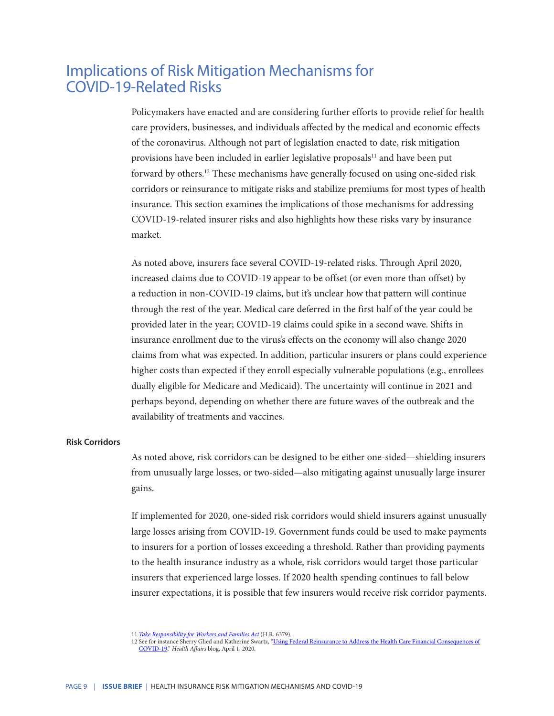## Implications of Risk Mitigation Mechanisms for COVID-19-Related Risks

Policymakers have enacted and are considering further efforts to provide relief for health care providers, businesses, and individuals affected by the medical and economic effects of the coronavirus. Although not part of legislation enacted to date, risk mitigation provisions have been included in earlier legislative proposals<sup>11</sup> and have been put forward by others.12 These mechanisms have generally focused on using one-sided risk corridors or reinsurance to mitigate risks and stabilize premiums for most types of health insurance. This section examines the implications of those mechanisms for addressing COVID-19-related insurer risks and also highlights how these risks vary by insurance market.

As noted above, insurers face several COVID-19-related risks. Through April 2020, increased claims due to COVID-19 appear to be offset (or even more than offset) by a reduction in non-COVID-19 claims, but it's unclear how that pattern will continue through the rest of the year. Medical care deferred in the first half of the year could be provided later in the year; COVID-19 claims could spike in a second wave. Shifts in insurance enrollment due to the virus's effects on the economy will also change 2020 claims from what was expected. In addition, particular insurers or plans could experience higher costs than expected if they enroll especially vulnerable populations (e.g., enrollees dually eligible for Medicare and Medicaid). The uncertainty will continue in 2021 and perhaps beyond, depending on whether there are future waves of the outbreak and the availability of treatments and vaccines.

#### **Risk Corridors**

As noted above, risk corridors can be designed to be either one-sided—shielding insurers from unusually large losses, or two-sided—also mitigating against unusually large insurer gains.

If implemented for 2020, one-sided risk corridors would shield insurers against unusually large losses arising from COVID-19. Government funds could be used to make payments to insurers for a portion of losses exceeding a threshold. Rather than providing payments to the health insurance industry as a whole, risk corridors would target those particular insurers that experienced large losses. If 2020 health spending continues to fall below insurer expectations, it is possible that few insurers would receive risk corridor payments.

<sup>11</sup> *[Take Responsibility for Workers and Families Act](https://www.congress.gov/bill/116th-congress/house-bill/6379)* (H.R. 6379).

<sup>12</sup> See for instance Sherry Glied and Katherine Swartz, ["Using Federal Reinsurance to Address the Health Care Financial Consequences of](https://www.healthaffairs.org/do/10.1377/hblog20200401.505998/full/) [COVID-19,](https://www.healthaffairs.org/do/10.1377/hblog20200401.505998/full/)" *Health Affairs* blog, April 1, 2020.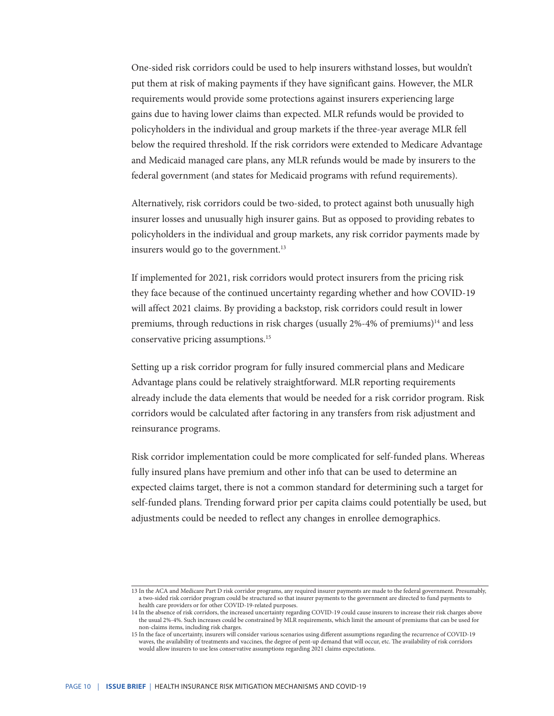One-sided risk corridors could be used to help insurers withstand losses, but wouldn't put them at risk of making payments if they have significant gains. However, the MLR requirements would provide some protections against insurers experiencing large gains due to having lower claims than expected. MLR refunds would be provided to policyholders in the individual and group markets if the three-year average MLR fell below the required threshold. If the risk corridors were extended to Medicare Advantage and Medicaid managed care plans, any MLR refunds would be made by insurers to the federal government (and states for Medicaid programs with refund requirements).

Alternatively, risk corridors could be two-sided, to protect against both unusually high insurer losses and unusually high insurer gains. But as opposed to providing rebates to policyholders in the individual and group markets, any risk corridor payments made by insurers would go to the government. $13$ 

If implemented for 2021, risk corridors would protect insurers from the pricing risk they face because of the continued uncertainty regarding whether and how COVID-19 will affect 2021 claims. By providing a backstop, risk corridors could result in lower premiums, through reductions in risk charges (usually  $2\% - 4\%$  of premiums)<sup>14</sup> and less conservative pricing assumptions.15

Setting up a risk corridor program for fully insured commercial plans and Medicare Advantage plans could be relatively straightforward. MLR reporting requirements already include the data elements that would be needed for a risk corridor program. Risk corridors would be calculated after factoring in any transfers from risk adjustment and reinsurance programs.

Risk corridor implementation could be more complicated for self-funded plans. Whereas fully insured plans have premium and other info that can be used to determine an expected claims target, there is not a common standard for determining such a target for self-funded plans. Trending forward prior per capita claims could potentially be used, but adjustments could be needed to reflect any changes in enrollee demographics.

<sup>13</sup> In the ACA and Medicare Part D risk corridor programs, any required insurer payments are made to the federal government. Presumably, a two-sided risk corridor program could be structured so that insurer payments to the government are directed to fund payments to health care providers or for other COVID-19-related purposes.

<sup>14</sup> In the absence of risk corridors, the increased uncertainty regarding COVID-19 could cause insurers to increase their risk charges above the usual 2%-4%. Such increases could be constrained by MLR requirements, which limit the amount of premiums that can be used for non-claims items, including risk charges.

<sup>15</sup> In the face of uncertainty, insurers will consider various scenarios using different assumptions regarding the recurrence of COVID-19 waves, the availability of treatments and vaccines, the degree of pent-up demand that will occur, etc. The availability of risk corridors would allow insurers to use less conservative assumptions regarding 2021 claims expectations.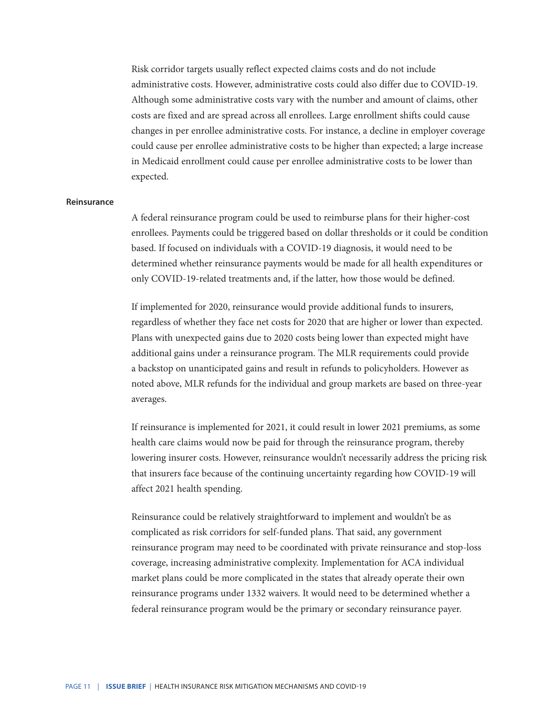Risk corridor targets usually reflect expected claims costs and do not include administrative costs. However, administrative costs could also differ due to COVID-19. Although some administrative costs vary with the number and amount of claims, other costs are fixed and are spread across all enrollees. Large enrollment shifts could cause changes in per enrollee administrative costs. For instance, a decline in employer coverage could cause per enrollee administrative costs to be higher than expected; a large increase in Medicaid enrollment could cause per enrollee administrative costs to be lower than expected.

#### **Reinsurance**

A federal reinsurance program could be used to reimburse plans for their higher-cost enrollees. Payments could be triggered based on dollar thresholds or it could be condition based. If focused on individuals with a COVID-19 diagnosis, it would need to be determined whether reinsurance payments would be made for all health expenditures or only COVID-19-related treatments and, if the latter, how those would be defined.

If implemented for 2020, reinsurance would provide additional funds to insurers, regardless of whether they face net costs for 2020 that are higher or lower than expected. Plans with unexpected gains due to 2020 costs being lower than expected might have additional gains under a reinsurance program. The MLR requirements could provide a backstop on unanticipated gains and result in refunds to policyholders. However as noted above, MLR refunds for the individual and group markets are based on three-year averages.

If reinsurance is implemented for 2021, it could result in lower 2021 premiums, as some health care claims would now be paid for through the reinsurance program, thereby lowering insurer costs. However, reinsurance wouldn't necessarily address the pricing risk that insurers face because of the continuing uncertainty regarding how COVID-19 will affect 2021 health spending.

Reinsurance could be relatively straightforward to implement and wouldn't be as complicated as risk corridors for self-funded plans. That said, any government reinsurance program may need to be coordinated with private reinsurance and stop-loss coverage, increasing administrative complexity. Implementation for ACA individual market plans could be more complicated in the states that already operate their own reinsurance programs under 1332 waivers. It would need to be determined whether a federal reinsurance program would be the primary or secondary reinsurance payer.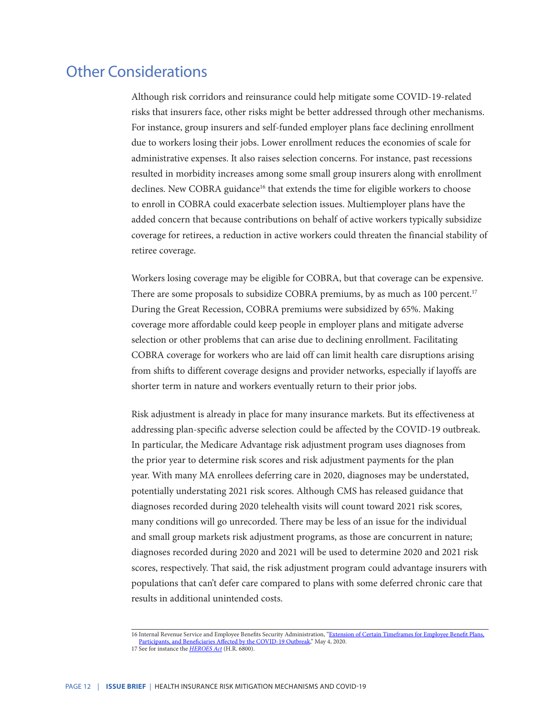# Other Considerations

Although risk corridors and reinsurance could help mitigate some COVID-19-related risks that insurers face, other risks might be better addressed through other mechanisms. For instance, group insurers and self-funded employer plans face declining enrollment due to workers losing their jobs. Lower enrollment reduces the economies of scale for administrative expenses. It also raises selection concerns. For instance, past recessions resulted in morbidity increases among some small group insurers along with enrollment declines. New COBRA guidance<sup>16</sup> that extends the time for eligible workers to choose to enroll in COBRA could exacerbate selection issues. Multiemployer plans have the added concern that because contributions on behalf of active workers typically subsidize coverage for retirees, a reduction in active workers could threaten the financial stability of retiree coverage.

Workers losing coverage may be eligible for COBRA, but that coverage can be expensive. There are some proposals to subsidize COBRA premiums, by as much as 100 percent.<sup>17</sup> During the Great Recession, COBRA premiums were subsidized by 65%. Making coverage more affordable could keep people in employer plans and mitigate adverse selection or other problems that can arise due to declining enrollment. Facilitating COBRA coverage for workers who are laid off can limit health care disruptions arising from shifts to different coverage designs and provider networks, especially if layoffs are shorter term in nature and workers eventually return to their prior jobs.

Risk adjustment is already in place for many insurance markets. But its effectiveness at addressing plan-specific adverse selection could be affected by the COVID-19 outbreak. In particular, the Medicare Advantage risk adjustment program uses diagnoses from the prior year to determine risk scores and risk adjustment payments for the plan year. With many MA enrollees deferring care in 2020, diagnoses may be understated, potentially understating 2021 risk scores. Although CMS has released guidance that diagnoses recorded during 2020 telehealth visits will count toward 2021 risk scores, many conditions will go unrecorded. There may be less of an issue for the individual and small group markets risk adjustment programs, as those are concurrent in nature; diagnoses recorded during 2020 and 2021 will be used to determine 2020 and 2021 risk scores, respectively. That said, the risk adjustment program could advantage insurers with populations that can't defer care compared to plans with some deferred chronic care that results in additional unintended costs.

<sup>16</sup> Internal Revenue Service and Employee Benefits Security Administration, "Extension of Certain Timeframes for Employee Benefit Plans [Participants, and Beneficiaries Affected by the COVID-19 Outbreak,](https://www.govinfo.gov/content/pkg/FR-2020-05-04/pdf/2020-09399.pdf)" May 4, 2020. 17 See for instance the *[HEROES Act](https://www.congress.gov/116/bills/hr6800/BILLS-116hr6800ih.pdf)* (H.R. 6800).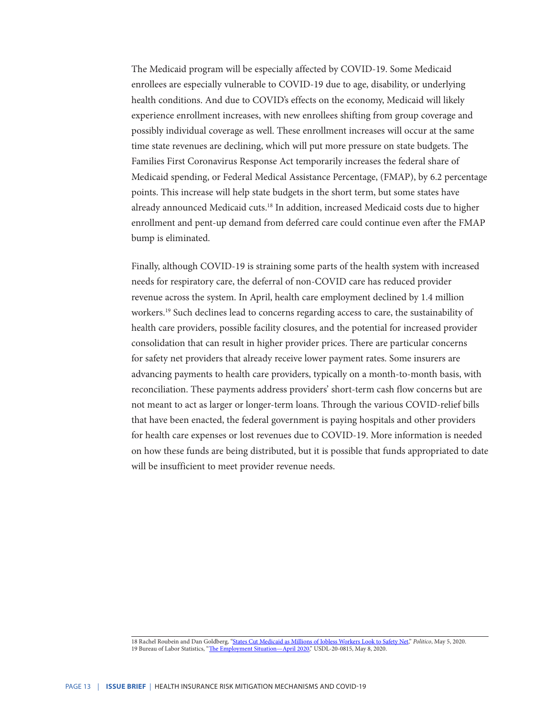The Medicaid program will be especially affected by COVID-19. Some Medicaid enrollees are especially vulnerable to COVID-19 due to age, disability, or underlying health conditions. And due to COVID's effects on the economy, Medicaid will likely experience enrollment increases, with new enrollees shifting from group coverage and possibly individual coverage as well. These enrollment increases will occur at the same time state revenues are declining, which will put more pressure on state budgets. The Families First Coronavirus Response Act temporarily increases the federal share of Medicaid spending, or Federal Medical Assistance Percentage, (FMAP), by 6.2 percentage points. This increase will help state budgets in the short term, but some states have already announced Medicaid cuts.18 In addition, increased Medicaid costs due to higher enrollment and pent-up demand from deferred care could continue even after the FMAP bump is eliminated.

Finally, although COVID-19 is straining some parts of the health system with increased needs for respiratory care, the deferral of non-COVID care has reduced provider revenue across the system. In April, health care employment declined by 1.4 million workers.19 Such declines lead to concerns regarding access to care, the sustainability of health care providers, possible facility closures, and the potential for increased provider consolidation that can result in higher provider prices. There are particular concerns for safety net providers that already receive lower payment rates. Some insurers are advancing payments to health care providers, typically on a month-to-month basis, with reconciliation. These payments address providers' short-term cash flow concerns but are not meant to act as larger or longer-term loans. Through the various COVID-relief bills that have been enacted, the federal government is paying hospitals and other providers for health care expenses or lost revenues due to COVID-19. More information is needed on how these funds are being distributed, but it is possible that funds appropriated to date will be insufficient to meet provider revenue needs.

<sup>18</sup> Rachel Roubein and Dan Goldberg, ["States Cut Medicaid as Millions of Jobless Workers Look to Safety Net,](https://www.politico.com/news/2020/05/05/states-cut-medicaid-programs-239208)" *Politico*, May 5, 2020. 19 Bureau of Labor Statistics, "[The Employment Situation—April 2020,](https://www.bls.gov/news.release/pdf/empsit.pdf)" USDL-20-0815, May 8, 2020.